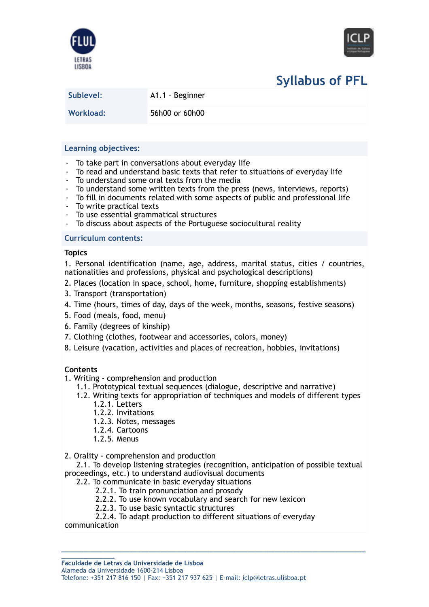



# **Syllabus of PFL**

**Sublevel**: A1.1 – Beginner

**Workload:** 56h00 or 60h00

# **Learning objectives:**

- To take part in conversations about everyday life
- To read and understand basic texts that refer to situations of everyday life
- To understand some oral texts from the media
- To understand some written texts from the press (news, interviews, reports)
- To fill in documents related with some aspects of public and professional life
- To write practical texts
- To use essential grammatical structures
- To discuss about aspects of the Portuguese sociocultural reality

## **Curriculum contents:**

#### **Topics**

1. Personal identification (name, age, address, marital status, cities / countries, nationalities and professions, physical and psychological descriptions)

- 2. Places (location in space, school, home, furniture, shopping establishments)
- 3. Transport (transportation)
- 4. Time (hours, times of day, days of the week, months, seasons, festive seasons)
- 5. Food (meals, food, menu)
- 6. Family (degrees of kinship)
- 7. Clothing (clothes, footwear and accessories, colors, money)
- 8. Leisure (vacation, activities and places of recreation, hobbies, invitations)

# **Contents**

- 1. Writing comprehension and production
	- 1.1. Prototypical textual sequences (dialogue, descriptive and narrative)
	- 1.2. Writing texts for appropriation of techniques and models of different types 1.2.1. Letters
		-
		- 1.2.2. Invitations
		- 1.2.3. Notes, messages 1.2.4. Cartoons
		- 1.2.5. Menus
		-
- 2. Orality comprehension and production

 2.1. To develop listening strategies (recognition, anticipation of possible textual proceedings, etc.) to understand audiovisual documents

- 2.2. To communicate in basic everyday situations
	- 2.2.1. To train pronunciation and prosody
	- 2.2.2. To use known vocabulary and search for new lexicon
	- 2.2.3. To use basic syntactic structures
	- 2.2.4. To adapt production to different situations of everyday

**\_\_\_\_\_\_\_\_\_\_\_\_\_\_\_\_\_\_\_\_\_\_\_\_\_\_\_\_\_\_\_\_\_\_\_\_\_\_\_\_\_\_\_\_\_\_\_\_\_\_\_\_\_\_\_\_\_\_\_\_\_\_\_\_\_\_\_\_\_\_\_\_\_\_\_\_\_\_\_\_**

communication

**\_\_\_\_\_\_\_\_\_\_\_\_\_\_ Faculdade de Letras da Universidade de Lisboa**

Alameda da Universidade 1600-214 Lisboa

Telefone: +351 217 816 150 | Fax: +351 217 937 625 | E-mail: [iclp@letras.ulisboa.pt](mailto:iclp@letras.ulisboa.pt)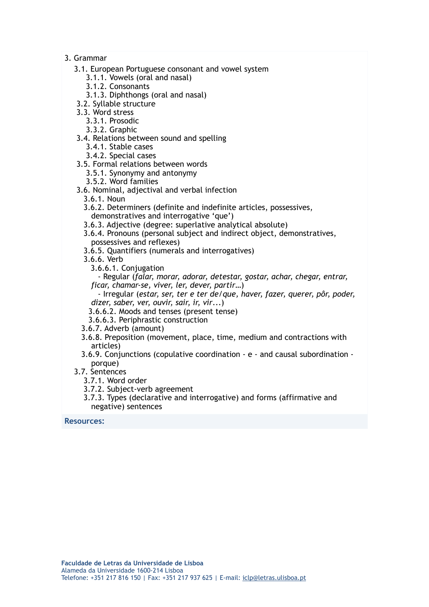## 3. Grammar

- 3.1. European Portuguese consonant and vowel system
	- 3.1.1. Vowels (oral and nasal)
	- 3.1.2. Consonants
	- 3.1.3. Diphthongs (oral and nasal)
- 3.2. Syllable structure
- 3.3. Word stress
	- 3.3.1. Prosodic
	- 3.3.2. Graphic
- 3.4. Relations between sound and spelling
	- 3.4.1. Stable cases
	- 3.4.2. Special cases
- 3.5. Formal relations between words
	- 3.5.1. Synonymy and antonymy
	- 3.5.2. Word families
- 3.6. Nominal, adjectival and verbal infection
	- 3.6.1. Noun
	- 3.6.2. Determiners (definite and indefinite articles, possessives, demonstratives and interrogative 'que')
	- 3.6.3. Adjective (degree: superlative analytical absolute)
	- 3.6.4. Pronouns (personal subject and indirect object, demonstratives, possessives and reflexes)
	- 3.6.5. Quantifiers (numerals and interrogatives)
	- 3.6.6. Verb
		- 3.6.6.1. Conjugation

 - Regular (*falar, morar, adorar, detestar, gostar, achar, chegar, entrar, ficar, chamar-se, viver, ler, dever, partir*…)

 - Irregular (*estar, ser, ter e ter de/que, haver, fazer, querer, pôr, poder, dizer, saber, ver, ouvir, sair, ir, vir*...)

3.6.6.2. Moods and tenses (present tense)

- 3.6.6.3. Periphrastic construction
- 3.6.7. Adverb (amount)
- 3.6.8. Preposition (movement, place, time, medium and contractions with articles)
- 3.6.9. Conjunctions (copulative coordination e and causal subordination porque)

## 3.7. Sentences

- 3.7.1. Word order
- 3.7.2. Subject-verb agreement
- 3.7.3. Types (declarative and interrogative) and forms (affirmative and negative) sentences

**Resources:**